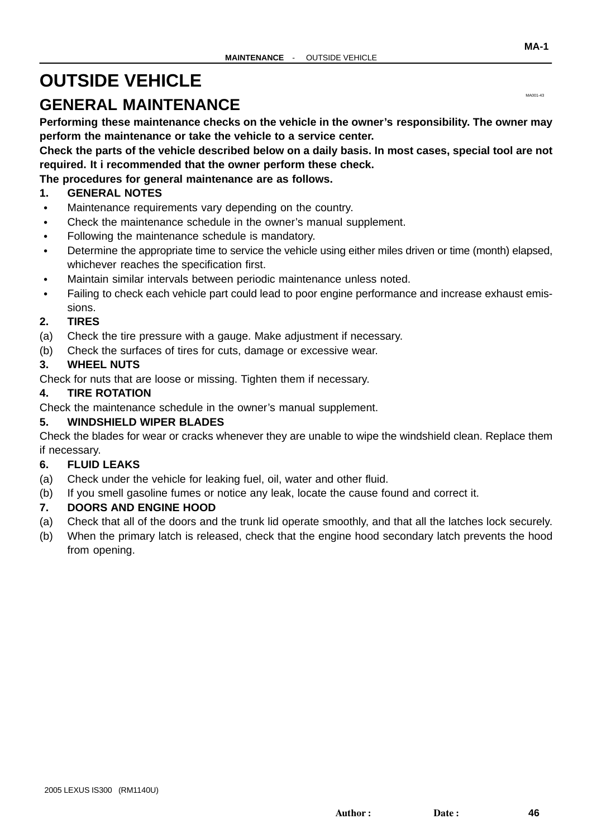## <span id="page-0-0"></span>**OUTSIDE VEHICLE**

## **GENERAL MAINTENANCE**

**Performing these maintenance checks on the vehicle in the owner's responsibility. The owner may perform the maintenance or take the vehicle to a service center.**

**Check the parts of the vehicle described below on a daily basis. In most cases, special tool are not required. It i recommended that the owner perform these check.**

### **The procedures for general maintenance are as follows.**

### **1. GENERAL NOTES**

- $\bullet$ Maintenance requirements vary depending on the country.
- Check the maintenance schedule in the owner's manual supplement.
- Ĩ. Following the maintenance schedule is mandatory.
- Determine the appropriate time to service the vehicle using either miles driven or time (month) elapsed, whichever reaches the specification first.
- Maintain similar intervals between periodic maintenance unless noted.
- Failing to check each vehicle part could lead to poor engine performance and increase exhaust emissions.

### **2. TIRES**

- (a) Check the tire pressure with a gauge. Make adjustment if necessary.
- (b) Check the surfaces of tires for cuts, damage or excessive wear.

### **3. WHEEL NUTS**

Check for nuts that are loose or missing. Tighten them if necessary.

### **4. TIRE ROTATION**

Check the maintenance schedule in the owner's manual supplement.

### **5. WINDSHIELD WIPER BLADES**

Check the blades for wear or cracks whenever they are unable to wipe the windshield clean. Replace them if necessary.

### **6. FLUID LEAKS**

- (a) Check under the vehicle for leaking fuel, oil, water and other fluid.
- (b) If you smell gasoline fumes or notice any leak, locate the cause found and correct it.

### **7. DOORS AND ENGINE HOOD**

- (a) Check that all of the doors and the trunk lid operate smoothly, and that all the latches lock securely.
- (b) When the primary latch is released, check that the engine hood secondary latch prevents the hood from opening.

**MA-1**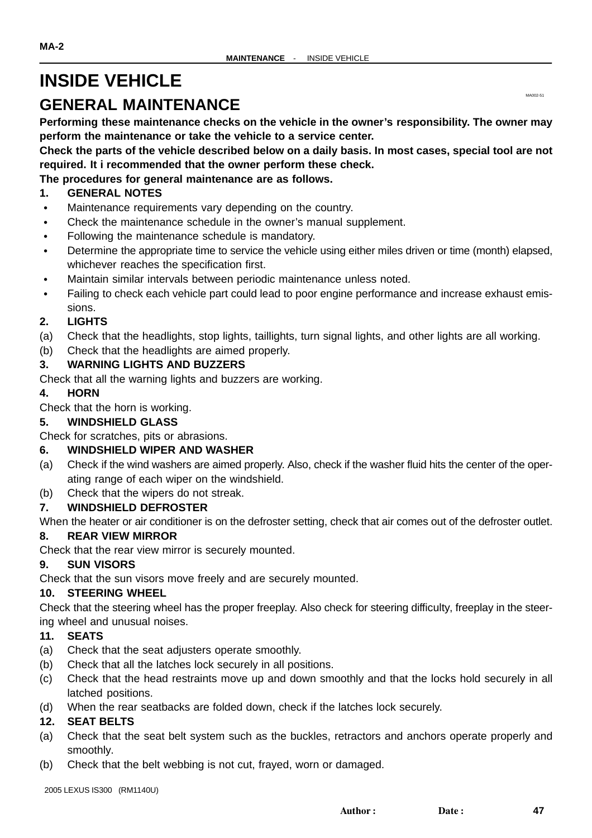## **INSIDE VEHICLE**

### **GENERAL MAINTENANCE**

**Performing these maintenance checks on the vehicle in the owner's responsibility. The owner may perform the maintenance or take the vehicle to a service center.**

**Check the parts of the vehicle described below on a daily basis. In most cases, special tool are not required. It i recommended that the owner perform these check.**

### **The procedures for general maintenance are as follows.**

### **1. GENERAL NOTES**

- $\bullet$ Maintenance requirements vary depending on the country.
- Check the maintenance schedule in the owner's manual supplement.
- Ĩ. Following the maintenance schedule is mandatory.
- Determine the appropriate time to service the vehicle using either miles driven or time (month) elapsed, whichever reaches the specification first.
- Maintain similar intervals between periodic maintenance unless noted.
- Failing to check each vehicle part could lead to poor engine performance and increase exhaust emissions.

### **2. LIGHTS**

- (a) Check that the headlights, stop lights, taillights, turn signal lights, and other lights are all working.
- (b) Check that the headlights are aimed properly.

### **3. WARNING LIGHTS AND BUZZERS**

Check that all the warning lights and buzzers are working.

### **4. HORN**

Check that the horn is working.

### **5. WINDSHIELD GLASS**

Check for scratches, pits or abrasions.

### **6. WINDSHIELD WIPER AND WASHER**

- (a) Check if the wind washers are aimed properly. Also, check if the washer fluid hits the center of the operating range of each wiper on the windshield.
- (b) Check that the wipers do not streak.

### **7. WINDSHIELD DEFROSTER**

When the heater or air conditioner is on the defroster setting, check that air comes out of the defroster outlet.

### **8. REAR VIEW MIRROR**

Check that the rear view mirror is securely mounted.

### **9. SUN VISORS**

Check that the sun visors move freely and are securely mounted.

### **10. STEERING WHEEL**

Check that the steering wheel has the proper freeplay. Also check for steering difficulty, freeplay in the steering wheel and unusual noises.

### **11. SEATS**

- (a) Check that the seat adjusters operate smoothly.
- (b) Check that all the latches lock securely in all positions.
- (c) Check that the head restraints move up and down smoothly and that the locks hold securely in all latched positions.
- (d) When the rear seatbacks are folded down, check if the latches lock securely.

### **12. SEAT BELTS**

- (a) Check that the seat belt system such as the buckles, retractors and anchors operate properly and smoothly.
- (b) Check that the belt webbing is not cut, frayed, worn or damaged.

MA002-51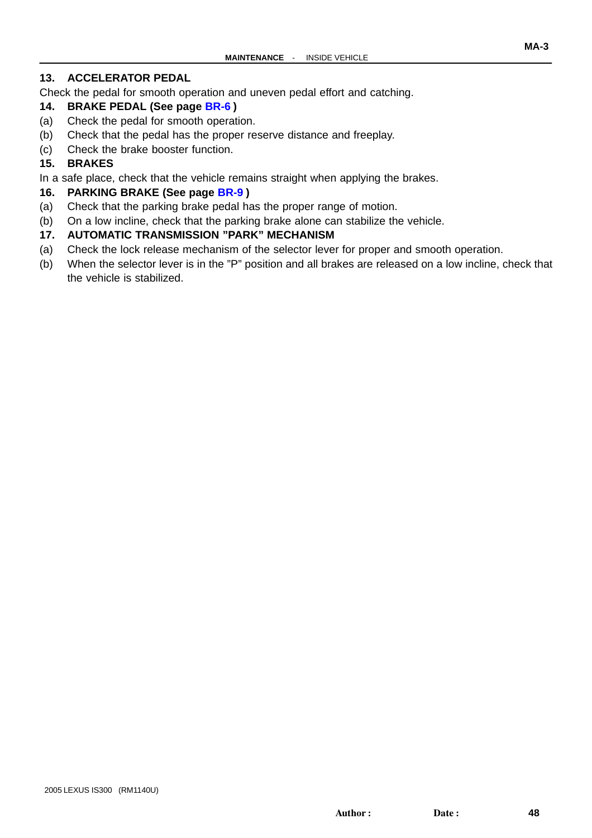### **13. ACCELERATOR PEDAL**

Check the pedal for smooth operation and uneven pedal effort and catching.

### **14. BRAKE PEDAL (See page [BR-6](#page-0-0) )**

- (a) Check the pedal for smooth operation.
- (b) Check that the pedal has the proper reserve distance and freeplay.
- (c) Check the brake booster function.

#### **15. BRAKES**

In a safe place, check that the vehicle remains straight when applying the brakes.

### **16. PARKING BRAKE (See page [BR-9](#page-0-0) )**

- (a) Check that the parking brake pedal has the proper range of motion.
- (b) On a low incline, check that the parking brake alone can stabilize the vehicle.

### **17. AUTOMATIC TRANSMISSION "PARK" MECHANISM**

- (a) Check the lock release mechanism of the selector lever for proper and smooth operation.
- (b) When the selector lever is in the "P" position and all brakes are released on a low incline, check that the vehicle is stabilized.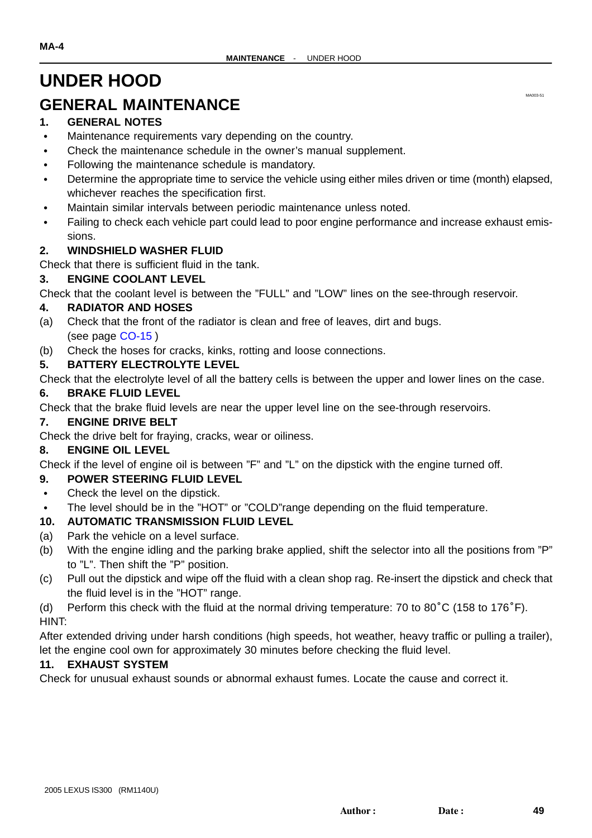## **UNDER HOOD**

### **GENERAL MAINTENANCE**

#### **1. GENERAL NOTES** Ï

- Maintenance requirements vary depending on the country.
- Check the maintenance schedule in the owner's manual supplement.
- Following the maintenance schedule is mandatory.
- Determine the appropriate time to service the vehicle using either miles driven or time (month) elapsed, whichever reaches the specification first.
- Maintain similar intervals between periodic maintenance unless noted.
- Failing to check each vehicle part could lead to poor engine performance and increase exhaust emissions.

### **2. WINDSHIELD WASHER FLUID**

Check that there is sufficient fluid in the tank.

### **3. ENGINE COOLANT LEVEL**

Check that the coolant level is between the "FULL" and "LOW" lines on the see-through reservoir.

### **4. RADIATOR AND HOSES**

- (a) Check that the front of the radiator is clean and free of leaves, dirt and bugs. (see page [CO-15](#page-0-0) )
- (b) Check the hoses for cracks, kinks, rotting and loose connections.

### **5. BATTERY ELECTROLYTE LEVEL**

Check that the electrolyte level of all the battery cells is between the upper and lower lines on the case.

### **6. BRAKE FLUID LEVEL**

Check that the brake fluid levels are near the upper level line on the see-through reservoirs.

### **7. ENGINE DRIVE BELT**

Check the drive belt for fraying, cracks, wear or oiliness.

### **8. ENGINE OIL LEVEL**

Check if the level of engine oil is between "F" and "L" on the dipstick with the engine turned off.

### **9. POWER STEERING FLUID LEVEL**

- $\bullet$ Check the level on the dipstick.
- $\bullet$ The level should be in the "HOT" or "COLD"range depending on the fluid temperature.

### **10. AUTOMATIC TRANSMISSION FLUID LEVEL**

- (a) Park the vehicle on a level surface.
- (b) With the engine idling and the parking brake applied, shift the selector into all the positions from "P" to "L". Then shift the "P" position.
- (c) Pull out the dipstick and wipe off the fluid with a clean shop rag. Re-insert the dipstick and check that the fluid level is in the "HOT" range.

(d) Perform this check with the fluid at the normal driving temperature: 70 to 80°C (158 to 176°F). HINT:

After extended driving under harsh conditions (high speeds, hot weather, heavy traffic or pulling a trailer), let the engine cool own for approximately 30 minutes before checking the fluid level.

### **11. EXHAUST SYSTEM**

Check for unusual exhaust sounds or abnormal exhaust fumes. Locate the cause and correct it.

MA003-5<sup>-</sup>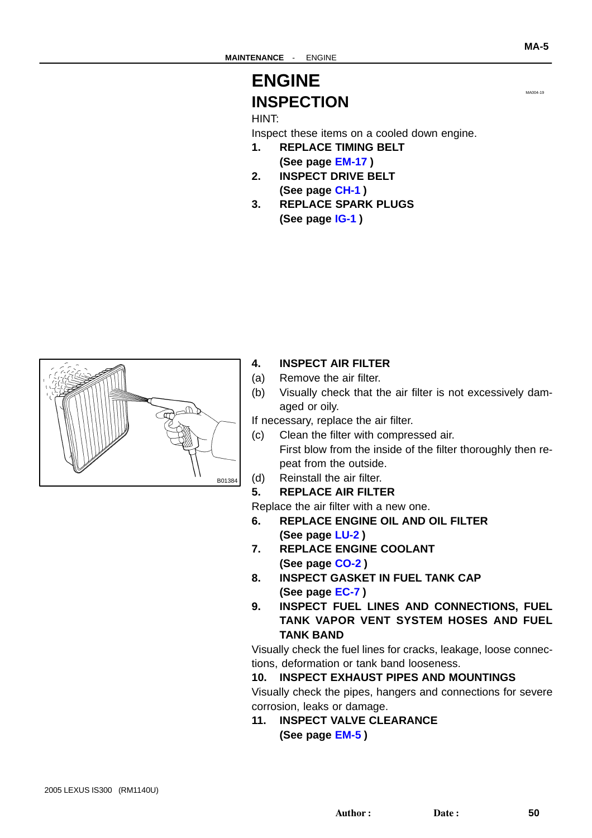## **ENGINE INSPECTION**

### HINT:

Inspect these items on a cooled down engine.

- **1. REPLACE TIMING BELT (See page [EM-17](#page-0-0) )**
- **2. INSPECT DRIVE BELT (See page [CH-1](#page-0-0) )**
- **3. REPLACE SPARK PLUGS (See page [IG-1](#page-0-0) )**



### **4. INSPECT AIR FILTER**

- (a) Remove the air filter.
- (b) Visually check that the air filter is not excessively damaged or oily.

If necessary, replace the air filter.

- (c) Clean the filter with compressed air. First blow from the inside of the filter thoroughly then repeat from the outside.
- (d) Reinstall the air filter.
- **5. REPLACE AIR FILTER**

Replace the air filter with a new one.

- **6. REPLACE ENGINE OIL AND OIL FILTER (See page [LU-2](#page-0-0) )**
- **7. REPLACE ENGINE COOLANT (See page [CO-2](#page-0-0) )**
- **8. INSPECT GASKET IN FUEL TANK CAP (See page [EC-7](#page-0-0) )**
- **9. INSPECT FUEL LINES AND CONNECTIONS, FUEL TANK VAPOR VENT SYSTEM HOSES AND FUEL TANK BAND**

Visually check the fuel lines for cracks, leakage, loose connections, deformation or tank band looseness.

### **10. INSPECT EXHAUST PIPES AND MOUNTINGS**

Visually check the pipes, hangers and connections for severe corrosion, leaks or damage.

**11. INSPECT VALVE CLEARANCE (See page [EM-5](#page-0-0) )**

MA004-19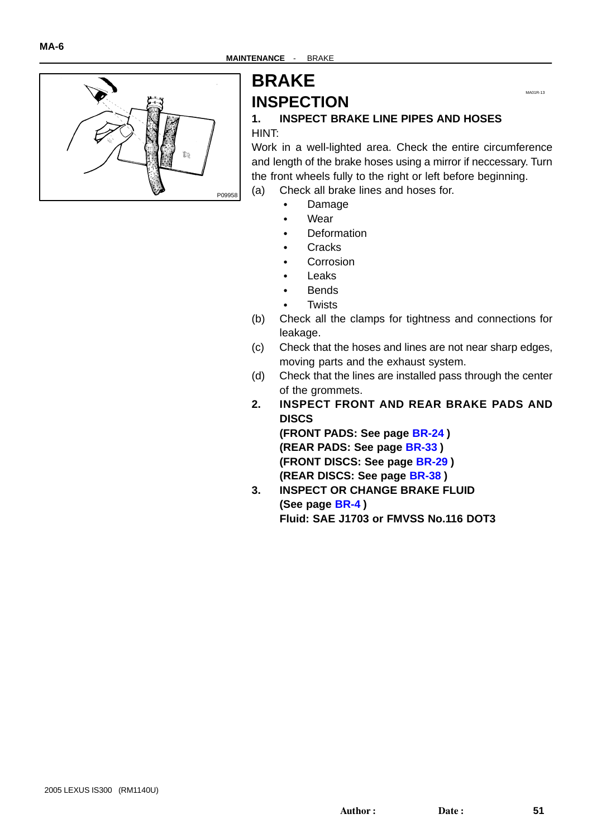

**MA-6**

# **BRAKE INSPECTION**

### **1. INSPECT BRAKE LINE PIPES AND HOSES** HINT:

Work in a well-lighted area. Check the entire circumference and length of the brake hoses using a mirror if neccessary. Turn the front wheels fully to the right or left before beginning.

MA01R-13

(a) Check all brake lines and hoses for.

- Damage
	- $\bullet$ **Wear**
	- **Deformation** Ĩ.
	- **Cracks**
	- **Corrosion**
	- Leaks
	- **Bends**
	- **Twists**
- (b) Check all the clamps for tightness and connections for leakage.
- (c) Check that the hoses and lines are not near sharp edges, moving parts and the exhaust system.
- (d) Check that the lines are installed pass through the center of the grommets.
- **2. INSPECT FRONT AND REAR BRAKE PADS AND DISCS**

**(FRONT PADS: See page [BR-24](#page-0-0) ) (REAR PADS: See page [BR-33](#page-0-0) ) (FRONT DISCS: See page [BR-29](#page-0-0) ) (REAR DISCS: See page [BR-38](#page-0-0) )**

**3. INSPECT OR CHANGE BRAKE FLUID (See page [BR-4](#page-0-0) ) Fluid: SAE J1703 or FMVSS No.116 DOT3**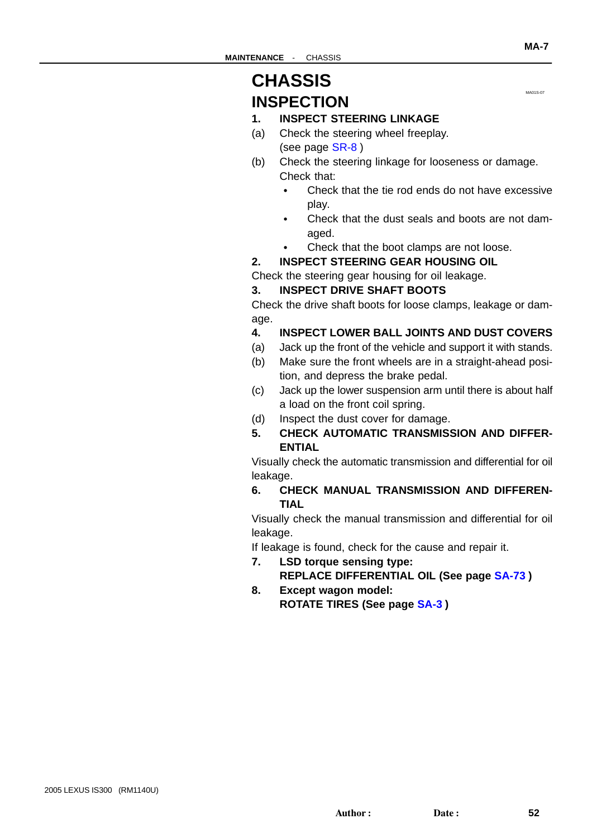MA01S-07

## **CHASSIS INSPECTION**

### **1. INSPECT STEERING LINKAGE**

- (a) Check the steering wheel freeplay. (see page [SR-8](#page-0-0) )
- (b) Check the steering linkage for looseness or damage. Check that:
	- Check that the tie rod ends do not have excessive play.
	- Check that the dust seals and boots are not damaged.
	- Check that the boot clamps are not loose.

### **2. INSPECT STEERING GEAR HOUSING OIL**

### Check the steering gear housing for oil leakage.

### **3. INSPECT DRIVE SHAFT BOOTS**

Check the drive shaft boots for loose clamps, leakage or damage.

- **4. INSPECT LOWER BALL JOINTS AND DUST COVERS**
- (a) Jack up the front of the vehicle and support it with stands.
- (b) Make sure the front wheels are in a straight-ahead position, and depress the brake pedal.
- (c) Jack up the lower suspension arm until there is about half a load on the front coil spring.
- (d) Inspect the dust cover for damage.
- **5. CHECK AUTOMATIC TRANSMISSION AND DIFFER-ENTIAL**

Visually check the automatic transmission and differential for oil leakage.

**6. CHECK MANUAL TRANSMISSION AND DIFFEREN-TIAL**

Visually check the manual transmission and differential for oil leakage.

If leakage is found, check for the cause and repair it.

**7. LSD torque sensing type:**

**REPLACE DIFFERENTIAL OIL (See page [SA-73](#page-0-0) )**

**8. Except wagon model: ROTATE TIRES (See page [SA-3](#page-0-0) )**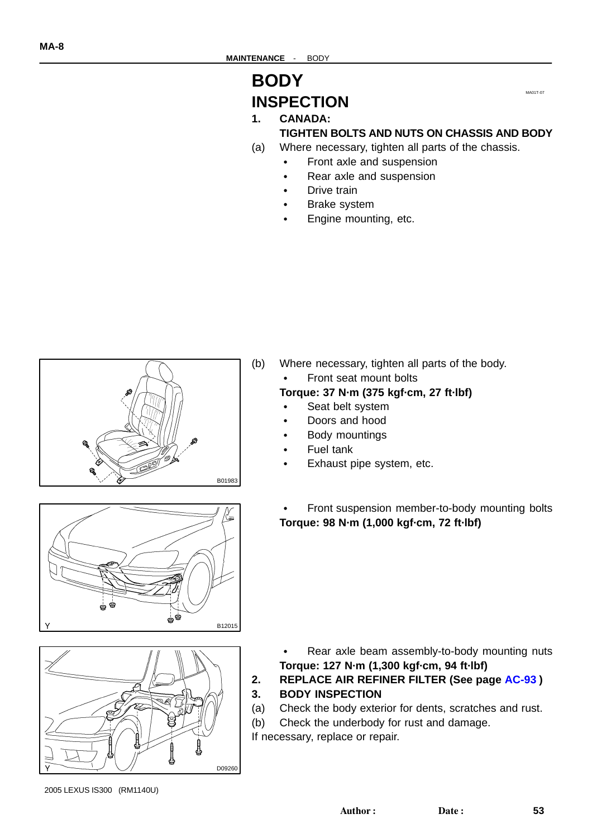## **BODY INSPECTION**

### **1. CANADA:**

### **TIGHTEN BOLTS AND NUTS ON CHASSIS AND BODY**

MA01T-07

- (a) Where necessary, tighten all parts of the chassis.
	- Front axle and suspension
	- $\bullet$ Rear axle and suspension
	- Drive train
	- Brake system
	- Engine mounting, etc.





- Front seat mount bolts **Torque: 37 N·m (375 kgf·cm, 27 ft·lbf)**
	- Seat belt system
- $\bullet$ Doors and hood
- Body mountings
- Fuel tank
- Exhaust pipe system, etc.

 Front suspension member-to-body mounting bolts **Torque: 98 N·m (1,000 kgf·cm, 72 ft·lbf)**





- Rear axle beam assembly-to-body mounting nuts **Torque: 127 N·m (1,300 kgf·cm, 94 ft·lbf)**
- **2. REPLACE AIR REFINER FILTER (See page [AC-93](#page-0-0) )**
- **3. BODY INSPECTION**
- (a) Check the body exterior for dents, scratches and rust.
- (b) Check the underbody for rust and damage.

If necessary, replace or repair.